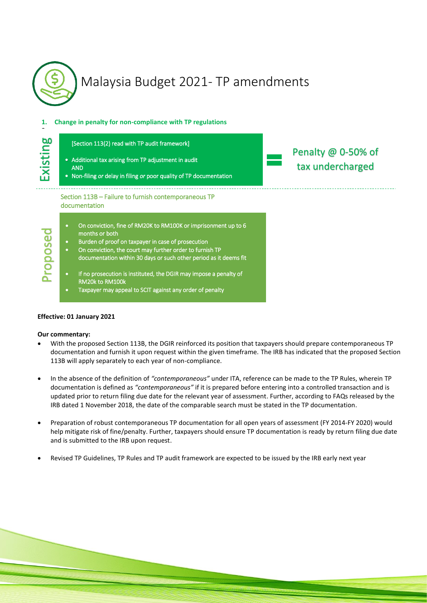

# Malaysia Budget 2021- TP amendments

# **1. Change in penalty for non-compliance with TP regulations**

| 60<br>Existing | [Section 113(2) read with TP audit framework]<br>• Additional tax arising from TP adjustment in audit<br><b>AND</b><br>• Non-filing or delay in filing or poor quality of TP documentation                                                                                                                                                                                                                                                                                                                                                                                   | Penalty @ 0-50% of<br>tax undercharged |
|----------------|------------------------------------------------------------------------------------------------------------------------------------------------------------------------------------------------------------------------------------------------------------------------------------------------------------------------------------------------------------------------------------------------------------------------------------------------------------------------------------------------------------------------------------------------------------------------------|----------------------------------------|
| ropose         | Section 113B - Failure to furnish contemporaneous TP<br>documentation<br>On conviction, fine of RM20K to RM100K or imprisonment up to 6<br>$\bullet$<br>months or both<br>Burden of proof on taxpayer in case of prosecution<br>$\bullet$<br>On conviction, the court may further order to furnish TP<br>$\bullet$<br>documentation within 30 days or such other period as it deems fit<br>If no prosecution is instituted, the DGIR may impose a penalty of<br>$\bullet$<br><b>RM20k to RM100k</b><br>Taxpayer may appeal to SCIT against any order of penalty<br>$\bullet$ |                                        |

# **Effective: 01 January 2021**

# **Our commentary:**

- With the proposed Section 113B, the DGIR reinforced its position that taxpayers should prepare contemporaneous TP documentation and furnish it upon request within the given timeframe. The IRB has indicated that the proposed Section 113B will apply separately to each year of non-compliance.
- In the absence of the definition of *"contemporaneous"* under ITA, reference can be made to the TP Rules, wherein TP documentation is defined as *"contemporaneous"* if it is prepared before entering into a controlled transaction and is updated prior to return filing due date for the relevant year of assessment. Further, according to FAQs released by the IRB dated 1 November 2018, the date of the comparable search must be stated in the TP documentation.
- Preparation of robust contemporaneous TP documentation for all open years of assessment (FY 2014-FY 2020) would help mitigate risk of fine/penalty. Further, taxpayers should ensure TP documentation is ready by return filing due date and is submitted to the IRB upon request.
- Revised TP Guidelines, TP Rules and TP audit framework are expected to be issued by the IRB early next year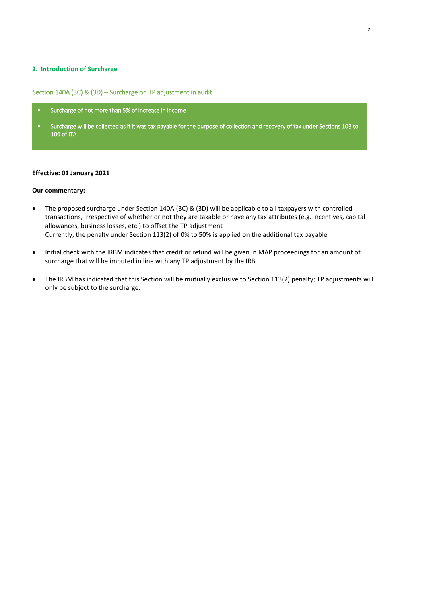### **2. Introduction of Surcharge**

Section 140A (3C) & (3D) – Surcharge on TP adjustment in audit

- Surcharge of not more than 5% of increase in income
- Surcharge will be collected as if it was tax payable for the purpose of collection and recovery of tax under Sections 103 to 106 of ITA

l

### **Effective: 01 January 2021**

#### **Our commentary:**

- The proposed surcharge under Section 140A (3C) & (3D) will be applicable to all taxpayers with controlled transactions, irrespective of whether or not they are taxable or have any tax attributes (e.g. incentives, capital allowances, business losses, etc.) to offset the TP adjustment Currently, the penalty under Section 113(2) of 0% to 50% is applied on the additional tax payable
- Initial check with the IRBM indicates that credit or refund will be given in MAP proceedings for an amount of surcharge that will be imputed in line with any TP adjustment by the IRB
- The IRBM has indicated that this Section will be mutually exclusive to Section 113(2) penalty; TP adjustments will only be subject to the surcharge.